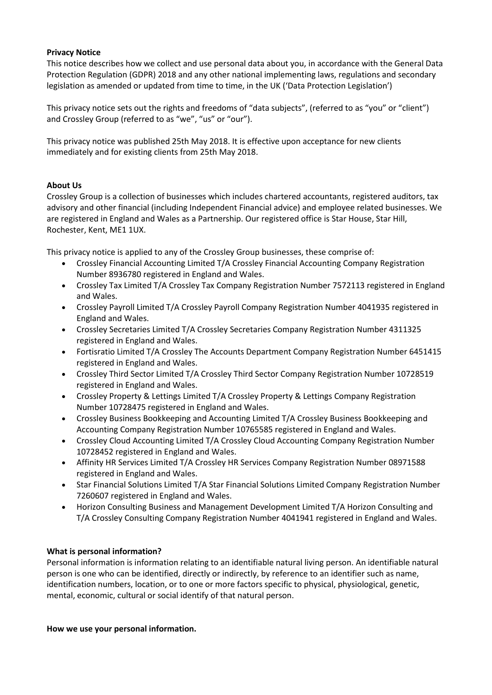## **Privacy Notice**

This notice describes how we collect and use personal data about you, in accordance with the General Data Protection Regulation (GDPR) 2018 and any other national implementing laws, regulations and secondary legislation as amended or updated from time to time, in the UK ('Data Protection Legislation')

This privacy notice sets out the rights and freedoms of "data subjects", (referred to as "you" or "client") and Crossley Group (referred to as "we", "us" or "our").

This privacy notice was published 25th May 2018. It is effective upon acceptance for new clients immediately and for existing clients from 25th May 2018.

## **About Us**

Crossley Group is a collection of businesses which includes chartered accountants, registered auditors, tax advisory and other financial (including Independent Financial advice) and employee related businesses. We are registered in England and Wales as a Partnership. Our registered office is Star House, Star Hill, Rochester, Kent, ME1 1UX.

This privacy notice is applied to any of the Crossley Group businesses, these comprise of:

- Crossley Financial Accounting Limited T/A Crossley Financial Accounting Company Registration Number 8936780 registered in England and Wales.
- Crossley Tax Limited T/A Crossley Tax Company Registration Number 7572113 registered in England and Wales.
- Crossley Payroll Limited T/A Crossley Payroll Company Registration Number 4041935 registered in England and Wales.
- Crossley Secretaries Limited T/A Crossley Secretaries Company Registration Number 4311325 registered in England and Wales.
- Fortisratio Limited T/A Crossley The Accounts Department Company Registration Number 6451415 registered in England and Wales.
- Crossley Third Sector Limited T/A Crossley Third Sector Company Registration Number 10728519 registered in England and Wales.
- Crossley Property & Lettings Limited T/A Crossley Property & Lettings Company Registration Number 10728475 registered in England and Wales.
- Crossley Business Bookkeeping and Accounting Limited T/A Crossley Business Bookkeeping and Accounting Company Registration Number 10765585 registered in England and Wales.
- Crossley Cloud Accounting Limited T/A Crossley Cloud Accounting Company Registration Number 10728452 registered in England and Wales.
- Affinity HR Services Limited T/A Crossley HR Services Company Registration Number 08971588 registered in England and Wales.
- Star Financial Solutions Limited T/A Star Financial Solutions Limited Company Registration Number 7260607 registered in England and Wales.
- Horizon Consulting Business and Management Development Limited T/A Horizon Consulting and T/A Crossley Consulting Company Registration Number 4041941 registered in England and Wales.

# **What is personal information?**

Personal information is information relating to an identifiable natural living person. An identifiable natural person is one who can be identified, directly or indirectly, by reference to an identifier such as name, identification numbers, location, or to one or more factors specific to physical, physiological, genetic, mental, economic, cultural or social identify of that natural person.

### **How we use your personal information.**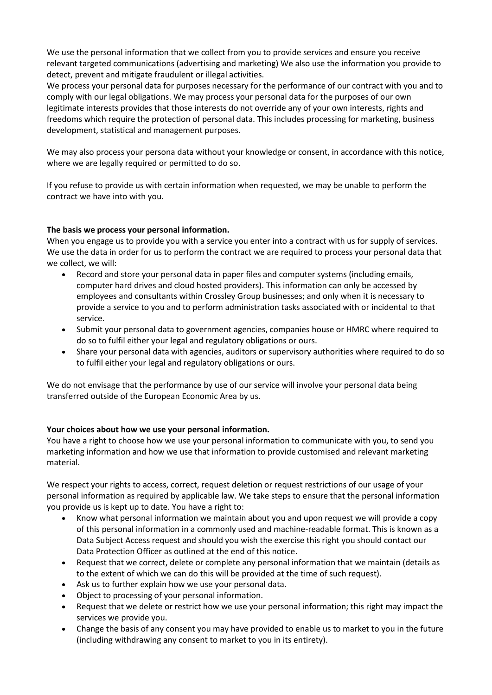We use the personal information that we collect from you to provide services and ensure you receive relevant targeted communications (advertising and marketing) We also use the information you provide to detect, prevent and mitigate fraudulent or illegal activities.

We process your personal data for purposes necessary for the performance of our contract with you and to comply with our legal obligations. We may process your personal data for the purposes of our own legitimate interests provides that those interests do not override any of your own interests, rights and freedoms which require the protection of personal data. This includes processing for marketing, business development, statistical and management purposes.

We may also process your persona data without your knowledge or consent, in accordance with this notice, where we are legally required or permitted to do so.

If you refuse to provide us with certain information when requested, we may be unable to perform the contract we have into with you.

# **The basis we process your personal information.**

When you engage us to provide you with a service you enter into a contract with us for supply of services. We use the data in order for us to perform the contract we are required to process your personal data that we collect, we will:

- Record and store your personal data in paper files and computer systems (including emails, computer hard drives and cloud hosted providers). This information can only be accessed by employees and consultants within Crossley Group businesses; and only when it is necessary to provide a service to you and to perform administration tasks associated with or incidental to that service.
- Submit your personal data to government agencies, companies house or HMRC where required to do so to fulfil either your legal and regulatory obligations or ours.
- Share your personal data with agencies, auditors or supervisory authorities where required to do so to fulfil either your legal and regulatory obligations or ours.

We do not envisage that the performance by use of our service will involve your personal data being transferred outside of the European Economic Area by us.

### **Your choices about how we use your personal information.**

You have a right to choose how we use your personal information to communicate with you, to send you marketing information and how we use that information to provide customised and relevant marketing material.

We respect your rights to access, correct, request deletion or request restrictions of our usage of your personal information as required by applicable law. We take steps to ensure that the personal information you provide us is kept up to date. You have a right to:

- Know what personal information we maintain about you and upon request we will provide a copy of this personal information in a commonly used and machine-readable format. This is known as a Data Subject Access request and should you wish the exercise this right you should contact our Data Protection Officer as outlined at the end of this notice.
- Request that we correct, delete or complete any personal information that we maintain (details as to the extent of which we can do this will be provided at the time of such request).
- Ask us to further explain how we use your personal data.
- Object to processing of your personal information.
- Request that we delete or restrict how we use your personal information; this right may impact the services we provide you.
- Change the basis of any consent you may have provided to enable us to market to you in the future (including withdrawing any consent to market to you in its entirety).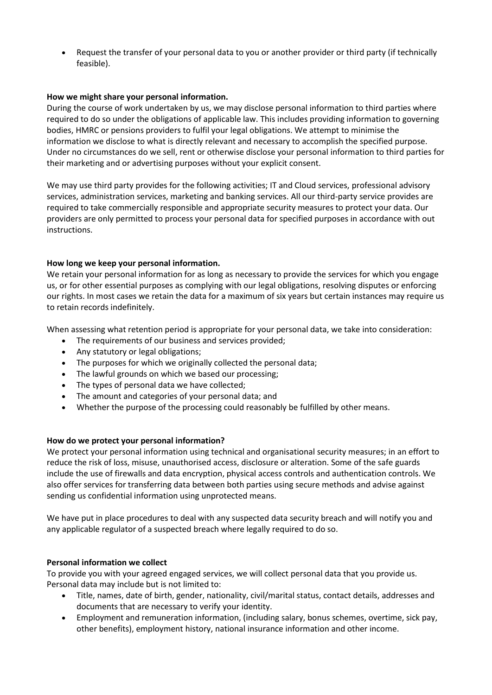• Request the transfer of your personal data to you or another provider or third party (if technically feasible).

## **How we might share your personal information.**

During the course of work undertaken by us, we may disclose personal information to third parties where required to do so under the obligations of applicable law. This includes providing information to governing bodies, HMRC or pensions providers to fulfil your legal obligations. We attempt to minimise the information we disclose to what is directly relevant and necessary to accomplish the specified purpose. Under no circumstances do we sell, rent or otherwise disclose your personal information to third parties for their marketing and or advertising purposes without your explicit consent.

We may use third party provides for the following activities; IT and Cloud services, professional advisory services, administration services, marketing and banking services. All our third-party service provides are required to take commercially responsible and appropriate security measures to protect your data. Our providers are only permitted to process your personal data for specified purposes in accordance with out instructions.

## **How long we keep your personal information.**

We retain your personal information for as long as necessary to provide the services for which you engage us, or for other essential purposes as complying with our legal obligations, resolving disputes or enforcing our rights. In most cases we retain the data for a maximum of six years but certain instances may require us to retain records indefinitely.

When assessing what retention period is appropriate for your personal data, we take into consideration:

- The requirements of our business and services provided:
- Any statutory or legal obligations;
- The purposes for which we originally collected the personal data;
- The lawful grounds on which we based our processing;
- The types of personal data we have collected;
- The amount and categories of your personal data; and
- Whether the purpose of the processing could reasonably be fulfilled by other means.

### **How do we protect your personal information?**

We protect your personal information using technical and organisational security measures; in an effort to reduce the risk of loss, misuse, unauthorised access, disclosure or alteration. Some of the safe guards include the use of firewalls and data encryption, physical access controls and authentication controls. We also offer services for transferring data between both parties using secure methods and advise against sending us confidential information using unprotected means.

We have put in place procedures to deal with any suspected data security breach and will notify you and any applicable regulator of a suspected breach where legally required to do so.

### **Personal information we collect**

To provide you with your agreed engaged services, we will collect personal data that you provide us. Personal data may include but is not limited to:

- Title, names, date of birth, gender, nationality, civil/marital status, contact details, addresses and documents that are necessary to verify your identity.
- Employment and remuneration information, (including salary, bonus schemes, overtime, sick pay, other benefits), employment history, national insurance information and other income.